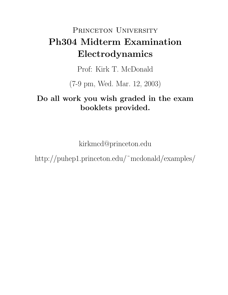# PRINCETON UNIVERSITY Ph304 Midterm Examination Electrodynamics

Prof: Kirk T. McDonald

(7-9 pm, Wed. Mar. 12, 2003)

# Do all work you wish graded in the exam booklets provided.

kirkmcd@princeton.edu

http://puhep1.princeton.edu/˜mcdonald/examples/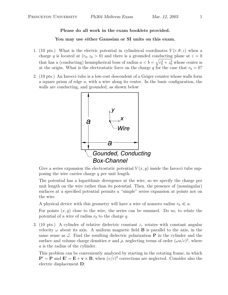## Please do all work in the exam booklets provided.

### You may use either Gaussian or SI units on this exam.

- 1. (10 pts.) What is the electric potential in cylindrical coordinates  $V(r, \theta, z)$  when a charge q is located at  $(r_0, z_0 > 0)$  and there is a grounded conducting plane at  $z = 0$ that has a (conducting) hemispherical boss of radius  $a < b = \sqrt{r_0^2 + z_0^2}$  whose center is at the origin. What is the electrostatic force on the charge q for the case that  $r_0 = 0$ ?
- 2. (10 pts.) An Iarocci tube is a low-cost descendent of a Geiger counter whose walls form a square prism of edge a, with a wire along its center. In the basic configuration, the walls are conducting, and grounded, as shown below



Give a series expansion the electrostatic potential  $V(x, y)$  inside the Iarocci tube supposing the wire carries charge  $q$  per unit length.

The potential has a logarithmic divergence at the wire, so we specify the charge per unit length on the wire rather than its potential. Then, the presence of (nonsingular) surfaces at a specified potential permits a "simple" series expansion at points not on the wire.

A physical device with this geometry will have a wire of nonzero radius  $r_0 \ll a$ .

For points  $(x, y)$  close to the wire, the series can be summed. Do so, to relate the potential of a wire of radius  $r_0$  to the charge q.

3. (10 pts.) A cylinder of relative dielectric constant  $\varepsilon_r$  rotates with constant angular velocity  $\omega$  about its axis. A uniform magnetic field **B** is parallel to the axis, in the same sense as  $\vec{\omega}$ . Find the resulting dielectric polarization **P** in the cylinder and the surface and volume charge densities  $\sigma$  and  $\rho$ , neglecting terms of order  $(\omega a/c)^2$ , where a is the radius of the cylinder.

This problem can be conveniently analyzed by starting in the rotating frame, in which  ${\bf P}' = {\bf P}$  and  ${\bf E}' = {\bf E} + {\bf v} \times {\bf B}$ , when  $(v/c)^2$  corrections are neglected. Consider also the electric displacement D.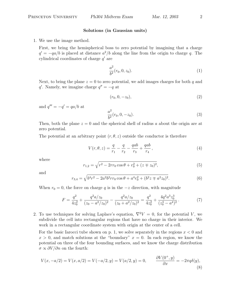#### Solutions (in Gaussian units)

1. We use the image method.

First, we bring the hemispherical boss to zero potential by imagining that a charge  $q' = -qa/b$  is placed at distance  $a^2/b$  along the line from the origin to charge q. The cylindrical coordinates of charge  $q'$  are

$$
\frac{a^2}{b^2}(r_0, 0, z_0).
$$
 (1)

Next, to bring the plane  $z = 0$  to zero potential, we add images charges for both q and q'. Namely, we imagine charge  $q'' = -q$  at

$$
(r_0, 0, -z_0), \t\t(2)
$$

and  $q''' = -q' = qa/b$  at

$$
\frac{a^2}{b^2}(r_0, 0, -z_0). \tag{3}
$$

Then, both the plane  $z = 0$  and the spherical shell of radius a about the origin are at zero potential.

The potential at an arbitrary point  $(r, \theta, z)$  outside the conductor is therefore

$$
V(r, \theta, z) = \frac{q}{r_1} - \frac{q}{r_2} - \frac{qab}{r_3} + \frac{qab}{r_4},
$$
\n(4)

where

$$
r_{1,2} = \sqrt{r^2 - 2rr_0 \cos \theta + r_0^2 + (z \mp z_0)^2},\tag{5}
$$

and

$$
r_{3,4} = \sqrt{b^4 r^2 - 2a^2 b^2 r r_0 \cos \theta + a^4 r_0^2 + (b^2 z \mp a^2 z_0)^2}.
$$
 (6)

When  $r_0 = 0$ , the force on charge q is in the  $-z$  direction, with magnitude

$$
F = \frac{q^2}{4z_0^2} + \frac{q^2a/z_0}{(z_0 - a^2/z_0)^2} - \frac{q^2a/z_0}{(z_0 + a^2/z_0)^2} = \frac{q^2}{4z_0^2} + \frac{4q^2a^3z_0^3}{(z_0^4 - a^4)^2}.
$$
 (7)

2. To use techniques for solving Laplace's equation,  $\nabla^2 V = 0$ , for the potential V, we subdivide the cell into rectangular regions that have no charge in their interior. We work in a rectangular coordinate system with origin at the center of a cell.

For the basic Iarocci tube shown on p. 1, we solve separately in the regions  $x < 0$  and  $x > 0$ , and match solutions at the "boundary"  $x = 0$ . In each region, we know the potential on three of the four bounding surfaces, and we know the charge distribution  $\sigma \propto \partial V/\partial n$  on the fourth:

$$
V(x, -a/2) = V(x, a/2) = V(-a/2, y) = V(a/2, y) = 0, \qquad \frac{\partial V(0^+, y)}{\partial x} = -2\pi q \delta(y),
$$
\n(8)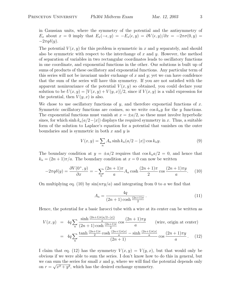in Gaussian units, where the symmetry of the potential and the antisymmetry of  $E_x$  about  $x = 0$  imply that  $E_x(-\epsilon, y) = -E_x(\epsilon, y) = \frac{\partial V(\epsilon, y)}{\partial x} = -2\pi\sigma(0, y) =$  $-2\pi q\delta(y)$ .

The potential  $V(x, y)$  for this problem is symmetric in x and y separately, and should also be symmetric with respect to the interchange of x and y. However, the method of separation of variables in two rectangular coordinates leads to oscillatory functions in one coordinate, and exponential functions in the other. Our solutions is built up of sums of products of these oscillatory and exponential functions. Any particular term of this series will not be invariant under exchange of  $x$  and  $y$ ; yet we can have confidence that the sum of the series will have this symmetry. If you are not satisfied with the apparent noninvariance of the potential  $V(x, y)$  so obtained, you could declare your solution to be  $U(x, y) = [V(x, y) + V(y, x)]/2$ , since if  $V(x, y)$  is a valid expression for the potential, then  $V(y, x)$  is also.

We chose to use oscillatory functions of y, and therefore exponetial functions of x. Symmetric oscillatory functions are cosines, so we write  $\cos k_n y$  for the y functions. The exponential functions must vanish at  $x = \pm a/2$ , so these must involve hyperbolic sines, for which sinh  $k_n(a/2-|x|)$  displays the required symmetry in x. Thus, a suitable form of the solution to Laplace's equation for a potential that vanishes on the outer boundaries and is symmetric in both  $x$  and  $y$  is

$$
V(x,y) = \sum_{n} A_n \sinh k_n (a/2 - |x|) \cos k_n y.
$$
 (9)

The boundary condition at  $y = \pm a/2$  requires that  $\cos k_n a/2 = 0$ , and hence that  $k_n = (2n + 1)\pi/a$ . The boundary condition at  $x = 0$  can now be written

$$
-2\pi q \delta(y) = \frac{\partial V(0^+, y)}{\partial x} = -\sum_{n} \frac{(2n+1)\pi}{a} A_n \cosh\frac{(2n+1)\pi}{2} \cos\frac{(2n+1)\pi y}{a}.
$$
 (10)

On multiplying eq. (10) by  $\sin(n\pi y/a)$  and integrating from 0 to a we find that

$$
A_n = \frac{4q}{(2n+1)\cosh\frac{(2n+1)\pi}{2}}.\tag{11}
$$

Hence, the potential for a basic Iarocci tube with a wire at its center can be written as

$$
V(x,y) = 4q \sum_{n} \frac{\sinh \frac{(2n+1)\pi(a/2-|x|)}{a}}{(2n+1)\cosh \frac{(2n+1)\pi}{2}} \cos \frac{(2n+1)\pi y}{a} \quad \text{(wire, origin at center)}
$$

$$
= 4q \sum_{n} \frac{\tanh \frac{(2n+1)\pi}{2} \cosh \frac{(2n+1)\pi|x|}{a} - \sinh \frac{(2n+1)\pi|x|}{a}}{(2n+1)} \cos \frac{(2n+1)\pi y}{a}. \quad (12)
$$

I claim that eq. (12) has the symmetry  $V(x, y) = V(y, x)$ , but that would only be obvious if we were able to sum the series. I don't know how to do this in general, but we can sum the series for small x and y, where we will find the potential depends only on  $r = \sqrt{x^2 + y^2}$ , which has the desired exchange symmetry.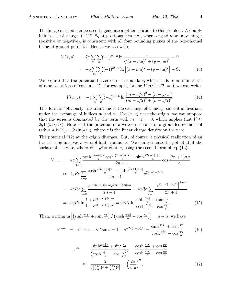The image method can be used to generate another solution to this problem. A doubly infinite set of charges  $(-1)^{m+n}q$  at positions  $(ma, na)$ , where m and n are any integer (positive or negative), is consistent with all four bounding planes of the box-channel being at ground potential. Hence, we can write

$$
V(x,y) = 2q \sum_{m} \sum_{n} (-1)^{m+n} \ln \frac{1}{\sqrt{(x-ma)^2 + (y-na)^2}} + C
$$
  
=  $-q \sum_{m} \sum_{n} (-1)^{m+n} \ln \left[ (x-ma)^2 + (y-na)^2 \right] + C.$  (13)

We require that the potential be zero on the boundary, which leads to an infinite set of representations of constant C. For example, forcing  $V(a/2, a/2) = 0$ , we can write

$$
V(x,y) = -q \sum_{m} \sum_{n} (-1)^{m+n} \ln \frac{(m-x/a)^2 + (n-y/a)^2}{(m-1/2)^2 + (n-1/2)^2}.
$$
 (14)

This form is "obviously" invariant under the exchange of  $x$  and  $y$ , since it is invariant under the exchange of indices m and n. For  $(x, y)$  near the origin, we can suppose that the series is dominated by the term with  $m = n = 0$ , which implies that  $V \approx$ that the series is dominated by the term with  $m = n = 0$ , which implies that  $V \approx 2q \ln(a/\sqrt{2}r)$ . Note that the potential of a wire on the axis of a grounded cylinder of radius a is  $V_{\text{cyl}} = 2q \ln(a/r)$ , where q is the linear charge density on the wire.

The potential (12) at the origin diverges. But, of course, a physical realization of an Iarocci tube involves a wire of finite radius  $r_0$ . We can estimate the potential at the surface of the wire, where  $x^2 + y^2 = r_0^2 \ll a$ , using the second form of eq. (12):

$$
V_{\text{wire}} = 4q \sum_{n=0} \frac{\tanh\frac{(2n+1)\pi}{2}\cosh\frac{(2n+1)\pi|x|}{a} - \sinh\frac{(2n+1)\pi|x|}{a}}{2n+1} \cos\frac{(2n+1)\pi y}{a}
$$
  
\n
$$
\approx 4qRe \sum_{n=0} \frac{\cosh\frac{(2n+1)\pi|x|}{a} - \sinh\frac{(2n+1)\pi|x|}{a}}{2n+1} e^{(2n+1)\pi iy/a}
$$
  
\n
$$
= 4qRe \sum_{n=0} \frac{e^{-(2n+1)\pi|x|/a} e^{(2n+1)\pi iy/a}}{2n+1} = 4qRe \sum_{n=1} \frac{\left[e^{\pi(-|x|+iy)/a}\right]^{2n+1}}{2n+1}
$$
  
\n
$$
= 2qRe \ln \frac{1 + e^{\pi(-|x|+iy)/a}}{1 - e^{\pi(-|x|+iy)/a}} = 2qRe \ln \frac{\sinh \frac{\pi|x|}{a} + i \sin \frac{\pi y}{a}}{\cosh \frac{\pi|x|}{a} - \cos \frac{\pi y}{a}}.
$$
(15)

Then, writing  $\ln \left[ \left( \sinh \frac{\pi |x|}{a} + i \sin \frac{\pi y}{a} \right) \right]$ ´ /  $\left(\cosh \frac{\pi |x|}{a} - \cos \frac{\pi y}{a}\right)\right] = u + iv$  we have

$$
e^{u+iv} = e^u \cos v + ie^u \sin v = 1 - e^{-2\pi(x-iy)/a} = \frac{\sinh \frac{\pi|x|}{a} + i \sin \frac{\pi y}{a}}{\cosh \frac{\pi|x|}{a} - \cos \frac{\pi y}{a}} \qquad (16)
$$

$$
e^{2u} = \frac{\sinh^2 \frac{\pi |x|}{a} + \sin^2 \frac{\pi y}{a}}{\left(\cosh \frac{\pi |x|}{a} - \cos \frac{\pi y}{a}\right)^2} = \frac{\cosh \frac{\pi |x|}{a} + \cos \frac{\pi y}{a}}{\cosh \frac{\pi |x|}{a} - \cos \frac{\pi y}{a}}
$$

$$
\approx \frac{2}{\frac{1}{2}\left[\left(\frac{\pi x}{a}\right)^2 + \left(\frac{\pi y}{a}\right)^2\right]} = \left(\frac{2a}{\pi r_0}\right)^2, \tag{17}
$$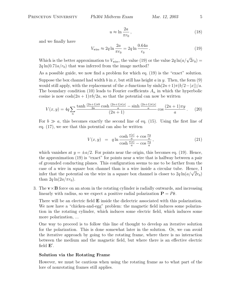$$
\mathcal{L}_{\mathcal{L}}
$$

$$
u \approx \ln \frac{2a}{\pi r_0},\tag{18}
$$

and we finally have

$$
V_{\text{wire}} \approx 2q \ln \frac{2a}{\pi r_0} = 2q \ln \frac{0.64a}{r_0} \,. \tag{19}
$$

Which is the better approximation to  $V_{\text{wire}}$ , the value (19) or the value  $2q \ln(a/\sqrt{2}r_0) =$  $2q \ln(0.71a/r_0)$  that was inferred from the image method?

As a possible guide, we now find a problem for which eq. (19) is the "exact" solution. Suppose the box channel had width b in x, but still has height a in y. Then, the form (9) would still apply, with the replacement of the x-functions by  $\sinh((2n+1)\pi(b/2-|x|)/a$ . The boundary condition (10) leads to Fourier coefficients  $A_n$  in which the hyperbolic cosine is now  $\cosh(2n+1)\pi b/2a$ , so that the potential can now be written

$$
V(x,y) = 4q \sum_{n} \frac{\tanh\frac{(2n+1)\pi b}{2a}\cosh\frac{(2n+1)\pi|x|}{a} - \sinh\frac{(2n+1)\pi|x|}{a}}{(2n+1)}\cos\frac{(2n+1)\pi y}{a}.
$$
 (20)

For  $b \gg a$ , this becomes exactly the second line of eq. (15). Using the first line of eq. (17), we see that this potential can also be written

$$
V(x,y) = q \ln \frac{\cosh \frac{\pi |x|}{a} + \cos \frac{\pi y}{a}}{\cosh \frac{\pi |x|}{a} - \cos \frac{\pi y}{a}},\tag{21}
$$

which vanishes at  $y = \pm a/2$ . For points near the origin, this becomes eq. (19). Hence, the approximation (19) is "exact" for points near a wire that is halfway between a pair of grounded conducting planes. This configuration seems to me to be farther from the case of a wire in square box channel than is a wire inside a circular tube. Hence, I case or a wire in square box channel than is a wire inside a circular tube. Hence, i<br>infer that the potential on the wire in a square box channel is closer to  $2q \ln(a/\sqrt{2}r_0)$ than  $2q \ln(2a/\pi r_0)$ .

3. The  $\mathbf{v} \times \mathbf{B}$  force on an atom in the rotating cylinder is radially outwards, and increasing linearly with radius, so we expect a positive radial polarization  $P = P\hat{r}$ .

There will be an electric field **E** inside the dielectric associated with this polarization. We now have a "chicken-and-egg" problem: the magnetic field induces some polarization in the rotating cylinder, which induces some electric field, which induces some more polarization, ...

One way to proceed is to follow this line of thought to develop an iterative solution for the polarization. This is done somewhat later in the solution. Or, we can avoid the iterative approach by going to the rotating frame, where there is no interaction between the medium and the magnetic field, but where there is an effective electric field  $\mathbf{E}'$ .

#### Solution via the Rotating Frame

However, we must be cautious when using the rotating frame as to what part of the lore of nonrotating frames still applies.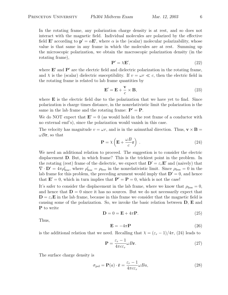In the rotating frame, any polarization charge density is at rest, and so does not interact with the magnetic field. Individual molecules are polarized by the effective field **E'** according to  $p' = \alpha E'$ , where  $\alpha$  is the (scalar) molecular polarizability, whose value is that same in any frame in which the molecules are at rest. Summing up the microscopic polarization, we obtain the macroscopic polarization density (in the rotating frame),

$$
\mathbf{P}' = \lambda \mathbf{E}',\tag{22}
$$

where  $E'$  and  $P'$  are the electric field and dielectric polarization in the rotating frame, and  $\chi$  is the (scalar) dielectric susceptibility. If  $v = \omega r \ll c$ , then the electric field in the rotating frame is related to lab frame quantities by

$$
\mathbf{E}' = \mathbf{E} + \frac{\mathbf{v}}{c} \times \mathbf{B},\tag{23}
$$

where  $\bf{E}$  is the electric field due to the polarization that we have yet to find. Since polarization is charge times distance, in the nonrelativistic limit the polarization is the same in the lab frame and the rotating frame:  $P' = P$ .

We do NOT expect that  $\mathbf{E}'=0$  (as would hold in the rest frame of a conductor with no external emf's), since the polarization would vanish in this case.

The velocity has magnitude  $v = \omega r$ , and is in the azimuthal direction. Thus,  $\mathbf{v} \times \mathbf{B} =$  $\omega B$ r, so that  $\overline{a}$  $\mathbf{r}$ 

$$
\mathbf{P} = \chi \left( \mathbf{E} + \frac{\omega B}{c} \mathbf{r} \right) . \tag{24}
$$

We need an additional relation to proceed. The suggestion is to consider the electric displacement D. But, in which frame? This is the trickiest point in the problem. In the rotating (rest) frame of the dielectric, we expect that  $\mathbf{D}' = \varepsilon_r \mathbf{E}'$  and (naively) that  $\nabla \cdot \mathbf{D}' = 4\pi \rho'_{\text{free}}$ , where  $\rho'_{\text{free}} = \rho_{\text{free}}$  in the nonrelativistic limit. Since  $\rho_{\text{free}} = 0$  in the lab frame for this problem, the preceding arument would imply that  $\mathbf{D}' = 0$ , and hence that  $\mathbf{E}'=0$ , which in turn implies that  $\mathbf{P}'=\mathbf{P}=0$ , which is not the case!

It's safer to consider the displacement in the lab frame, where we know that  $\rho_{\text{free}} = 0$ , and hence that  $D = 0$  since it has no sources. But we do not necessarily expect that  $\mathbf{D} = \varepsilon_r \mathbf{E}$  in the lab frame, because in this frame we consider that the magnetic field is causing some of the polarization. So, we invoke the basic relation between D, E and P to write

$$
\mathbf{D} = 0 = \mathbf{E} + 4\pi \mathbf{P}.\tag{25}
$$

Thus,

$$
\mathbf{E} = -4\pi \mathbf{P} \tag{26}
$$

is the additional relation that we need. Recalling that  $\chi = (\varepsilon_r - 1)/4\pi$ , (24) leads to

$$
\mathbf{P} = \frac{\varepsilon_r - 1}{4\pi c \varepsilon_r} \omega B \mathbf{r}.
$$
 (27)

The surface charge density is

$$
\sigma_{\text{pol}} = \mathbf{P}(a) \cdot \hat{\mathbf{r}} = \frac{\varepsilon_r - 1}{4\pi c \varepsilon_r} \omega B a,\tag{28}
$$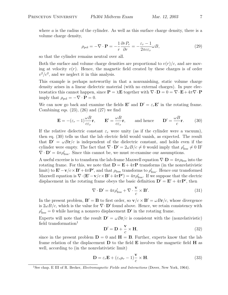$$
\rho_{\text{pol}} = -\nabla \cdot \mathbf{P} = -\frac{1}{r} \frac{\partial r P_r}{\partial r} = -\frac{\varepsilon_r - 1}{2\pi c \varepsilon_r} \omega B,\tag{29}
$$

so that the cylinder remains neutral over all.

Both the surface and volume charge densities are proportional to  $v(r)/c$ , and are moving at velocity  $v(r)$ . Hence, the magnetic field created by these charges is of order  $v^2/c^2$ , and we neglect it in this analysis.

This example is perhaps noteworthy in that a nonvanishing, static volume charge density arises in a linear dielectric material (with no external charges). In pure electrostatics this cannot happen, since  $\mathbf{P} = \chi \mathbf{E}$  together with  $\nabla \cdot \mathbf{D} = 0 = \nabla \cdot \mathbf{E} + 4\pi \nabla \cdot \mathbf{P}$ imply that  $\rho_{pol} = -\nabla \cdot \mathbf{P} = 0$ .

We can now go back and examine the fields **E'** and  $D' = \varepsilon_r E'$  in the rotating frame. Combining eqs.  $(23)$ ,  $(26)$  and  $(27)$  we find

$$
\mathbf{E} = -(\varepsilon_r - 1)\frac{\omega B}{c\varepsilon_r}\mathbf{r}, \qquad \mathbf{E}' = \frac{\omega B}{c\varepsilon_r}\mathbf{r}, \qquad \text{and hence} \qquad \mathbf{D}' = \frac{\omega B}{c}\mathbf{r}.
$$
 (30)

If the relative dielectric constant  $\varepsilon_r$  were unity (as if the cylinder were a vacuum), then eq. (30) tells us that the lab electric field would vanish, as expected. The result that  $D' = \omega Br/c$  is independent of the dielectric constant, and holds even if the cylinder were empty. The fact that  $\nabla \cdot \mathbf{D}' = 2\omega B/c \neq 0$  would imply that  $\rho'_{\text{free}} \neq 0$  IF  $\nabla \cdot \mathbf{D}' = 4\pi \rho'_{\text{free}}$ . Since this cannot be, we must re-examine our assumptions.

A useful excerise is to transform the lab-frame Maxwell equation  $\nabla \cdot \mathbf{D} = 4\pi \rho_{\text{free}}$  into the rotating frame. For this, we note that  $\mathbf{D} = \mathbf{E} + 4\pi \mathbf{P}$  transforms (in the nonrelativistic limit) to  $\mathbf{E}' - \mathbf{v}/c \times \mathbf{B}' + 4\pi \mathbf{P}'$ , and that  $\rho_{\text{free}}$  transforms to  $\rho'_{\text{free}}$ . Hence our transformed Maxwell equation is  $\nabla \cdot (\mathbf{E}' - \mathbf{v}/c \times \mathbf{B}' + 4\pi \mathbf{P}') = 4\pi \rho'_{\text{free}}$ . If we suppose that the electric displacement in the rotating frame obeys the basic definition  $\mathbf{D}' = \mathbf{E}' + 4\pi \mathbf{P}'$ , then

$$
\nabla \cdot \mathbf{D}' = 4\pi \rho'_{\text{free}} + \nabla \cdot \frac{\mathbf{v}}{c} \times \mathbf{B}'. \tag{31}
$$

In the present problem,  $\mathbf{B}' = \mathbf{B}$  to first order, so  $\mathbf{v}/c \times \mathbf{B}' = \omega Br/c$ , whose divergence is  $2\omega B/c$ , which is the value for  $\nabla \cdot \mathbf{D}'$  found above. Hence, we retain consistency with  $\rho'_{\text{free}} = 0$  while having a nonzero displacement  $\mathbf{D}'$  in the rotating frame.

Experts will note that the result  $\mathbf{D}' = \omega B \mathbf{r}/c$  is consistent with the (nonrelativistic) field transformation $<sup>1</sup>$ </sup>

$$
\mathbf{D}' = \mathbf{D} + \frac{\mathbf{v}}{c} \times \mathbf{H},\tag{32}
$$

since in the present problem  $D = 0$  and  $H = B$ . Further, experts know that the lab frame relation of the displacement  $\bf{D}$  to the field  $\bf{E}$  involves the magnetic field  $\bf{H}$  as well, according to (in the nonrelativistic limit)

$$
\mathbf{D} = \varepsilon_r \mathbf{E} + (\varepsilon_r \mu_r - 1) \frac{\mathbf{v}}{c} \times \mathbf{H}.
$$
 (33)

<sup>&</sup>lt;sup>1</sup>See chap. E III of R. Becker, *Electromagnetic Fields and Interactions* (Dover, New York, 1964).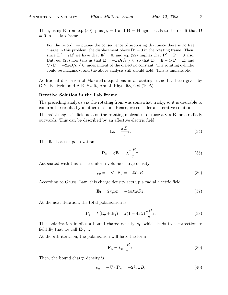Then, using **E** from eq. (30), plus  $\mu_r = 1$  and **B** = **H** again leads to the result that **D**  $= 0$  in the lab frame.

For the record, we pursue the consequence of supposing that since there is no free charge in this problem, the displacement obeys  $\mathbf{D}'=0$  in the rotating frame. Then, since  $\mathbf{D}' = \varepsilon \mathbf{E}'$  we have that  $\mathbf{E}' = 0$ , and eq. (22) implies that  $\mathbf{P}' = \mathbf{P} = 0$  also. But, eq. (23) now tells us that  $\mathbf{E} = -\omega B \mathbf{r}/c \neq 0$ , so that  $\mathbf{D} = \mathbf{E} + 4\pi \mathbf{P} = \mathbf{E}$ , and  $\nabla \cdot \mathbf{D} = -2\omega B/c \neq 0$ , independent of the dielectric constant. The rotating cylinder could be imaginary, and the above analysis still should hold. This is implausible.

Additional discussion of Maxwell's equations in a rotating frame has been given by G.N. Pelligrini and A.R. Swift, Am. J. Phys. 63, 694 (1995).

#### Iterative Solution in the Lab Frame

The preceding analysis via the rotating from was somewhat tricky, so it is desirable to confirm the results by another method. Hence, we consider an iterative solution.

The axial magnetic field acts on the rotating molecules to cause a  $\mathbf{v} \times \mathbf{B}$  force radially outwards. This can be described by an effective electric field

$$
\mathbf{E}_0 = \frac{\omega B}{c} \mathbf{r}.\tag{34}
$$

This field causes polarization

$$
\mathbf{P}_0 = \chi \mathbf{E}_0 = \chi \frac{\omega B}{c} \mathbf{r}.\tag{35}
$$

Associated with this is the uniform volume charge density

$$
\rho_0 = -\nabla \cdot \mathbf{P}_0 = -2\chi \omega B. \tag{36}
$$

According to Gauss' Law, this charge density sets up a radial electric field

$$
\mathbf{E}_1 = 2\pi \rho_0 \mathbf{r} = -4\pi \chi \omega B \mathbf{r}.\tag{37}
$$

At the next iteration, the total polarization is

$$
\mathbf{P}_1 = \chi(\mathbf{E}_0 + \mathbf{E}_1) = \chi(1 - 4\pi\chi)\frac{\omega B}{c}\mathbf{r}.\tag{38}
$$

This polarization implies a bound charge density  $\rho_1$ , which leads to a correction to field  $\mathbf{E}_0$  that we call  $\mathbf{E}_2$ , ...

At the nth iteration, the polarization will have the form

$$
\mathbf{P}_n = k_n \frac{\omega B}{c} \mathbf{r}.\tag{39}
$$

Then, the bound charge density is

$$
\rho_n = -\nabla \cdot \mathbf{P}_n = -2k_n \omega B,\tag{40}
$$